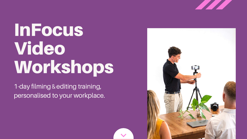# InFocus Video Workshops

1-day filming & editing training, personalised to your workplace.



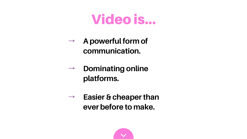**Dominating online platforms.**

### **A powerful form of communication.**

**Easier & cheaperthan ever before to make.**





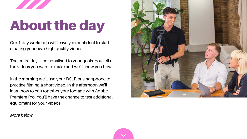## About the day

Our 1-day workshop will leave you confident to start creating your own high-quality videos.

The entire day is personalised to your goals. You tell us the videos you want to make and we'll show you how.

In the morning we'll use your DSLR or smartphone to practice filming a short video. In the afternoon we'll learn how to edit together your footage with Adobe Premiere Pro. You'll have the chance to test additional equipment for your videos.



*More below.*

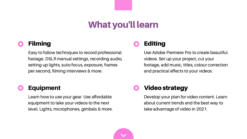### What you'll learn

#### Video strategy

Develop your plan for video content. Learn about current trends and the best way to take advantage of video in 2021.

#### Equipment

Learn how to use your gear. Use affordable equipment to take your videos to the next level. Lights, microphones, gimbals & more.



### Editing

Use Adobe Premiere Pro to create beautiful videos. Set-up your project, cut your footage, add music, titles, colour correction and practical effects to your videos.

### Filming

Easy to follow techniques to record professional footage. DSLR manual settings, recording audio, setting up lights, auto-focus, exposure, frames per second, filming interviews & more.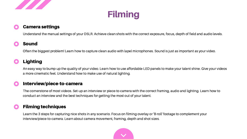



#### Camera settings

Understand the manual settings of your DSLR. Achieve clean shots with the correct exposure, focus, depth of field and audio levels.

Learn the 3 steps for capturing nice shots in any scenario. Focus on filming overlay or 'B-roll' footage to complement your interview/piece-to-camera. Learn about camera movement, framing, depth and shot sizes.



#### Lighting

An easy way to bump up the quality of your video. Learn how to use affordable LED panels to make your talent shine. Give your videos a more cinematic feel. Understand how to make use of natural lighting.

#### Sound

Often the biggest problem! Learn how to capture clean audio with lapel microphones. Sound is just as important as your video.

#### Interview/piece-to-camera

The cornerstone of most videos. Set-up an interview or piece-to-camera with the correct framing, audio and lighting. Learn how to conduct an interview and the best techniques for getting the most out of your talent.

#### **Filming techniques**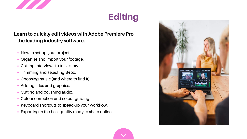- How to set-up your project.
- Organise and import your footage.
- Cutting interviews to tell a story.
- **Trimming and selecting B-roll.**
- Choosing music (and where to find it).  $\bullet$
- Adding titles and graphics.
- Cutting and polishing audio.
- Colour correction and colour grading.
- Keyboard shortcuts to speed-up your workflow.
- Exporting in the best quality ready to share online.









#### **Learn to quickly edit videos with Adobe Premiere Pro – the leading industry software.**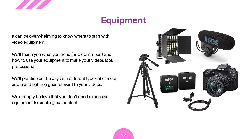

### Equipment

It can be overwhelming to know where to start with video equipment.

We'll teach you what you need (and don't need) and how to use your equipment to make your videos look professional.

We strongly believe that you don't need expensive equipment to create great content.





We'll practice on the day with different types of camera, audio and lighting gear relevant to your videos.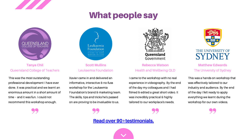

### What people say



This was a hands-on workshop that was effectively tailored to our industry and audience. By the end of the day I felt ready to apply everything we learnt during the workshop for our own videos.





I came to the workshop with no real experience in videography. By the end of the day my colleagues and I had filmed & edited a great short video. It was incredibly practical & highly tailored to our workplace's needs.

Xavier came in and delivered an informative, interactive & no-fuss workshop for the Leukaemia Foundation's brand & marketing team. The skills, tips and tricks he's passed on are proving to be invaluable to us.



#### **Scott Mullins** Leukaemia Foundation

#### **Rebecca Watson** Health and Wellbeing QLD

#### **Matthew Edwards** The University of Sydney

#### **Read over [90+testimonials.](https://www.infocusworkshops.com/testimonials)**





### THE UNIVERSITY OF

This was the most outstanding professional development I have ever done. It was practical and we learnt an enormous amount in a short amount of time – and it was fun. I could not recommend this workshop enough.

Leukaemia Foundation VISION TO CURE MISSION TO CARE

**Tanya Chil** Queensland College of Teachers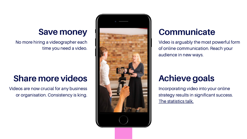

### **Save money**

No more hiring a videographer each time you need a video.

### **Share more videos**

Videos are now crucial for any business or organisation. Consistency is king.

Incorporating video into your online strategy results in significant success. The [statistics](https://www.infocusworkshops.com/post/the-state-of-video-in-2021) talk.

### **Communicate**

Video is arguably the most powerful form of online communication. Reach your audience in new ways.

### **Achieve goals**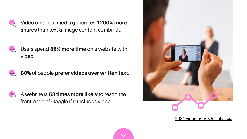Users spend **88% more time** on a website with video.



Video on social media generates **1200% more shares** than text & image content combined.



A website is **53 times more likely** to reach the front page of Google if it includes video.



**80%** of people **prefer videos over written text.**



2021 video trends & [statistics.](https://www.infocusworkshops.com/post/the-state-of-video-in-2021)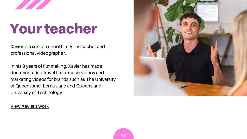

## Your teacher

Xavier is a senior-school film & TV teacher and professional videographer.

In his 8 years of filmmaking, Xavier has made documentaries, travel films, music videos and marketing videos for brands such as The University of Queensland, Lorna Jane and Queensland University of Technology.

View [Xavier's](https://www.infocusworkshops.com/about) work



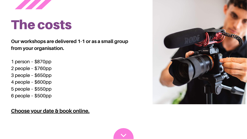

## The costs

- 1 person \$870pp
- 2 people \$760pp
- 3 people \$650pp
- 4 people \$600pp
- 5 people \$550pp
- 6 people \$500pp

**Our workshops are delivered 1-1 or as a small group from your organisation.**

#### **[Choose](https://www.infocusworkshops.com/book-online) your date & book online.**



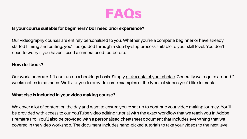#### **Is your course suitable for beginners? Do I need prior experience?**

Our videography courses are entirely personalised to you. Whether you're a complete beginner or have already started filming and editing, you'll be guided through a step-by-step process suitable to your skill level. You don't need to worry if you haven't used a camera or edited before.

Our workshops are 1-1 and run on a bookings basis. Simply pick a date of your [choice.](https://www.infocusworkshops.com/book-online) Generally we require around 2 weeks notice in advance. We'll ask you to provide some examples of the types of videos you'd like to create.

#### **How do I book?**

#### **What else is included in your video making course?**

We cover a lot of content on the day and want to ensure you're set-up to continue your video making journey. You'll be provided with access to our YouTube video editing tutorial with the exact workflow that we teach you in Adobe Premiere Pro. You'll also be provided with a personalised cheatsheet document that includes everything that we covered in the video workshop. The document includes hand-picked tutorials to take your videos to the next level.

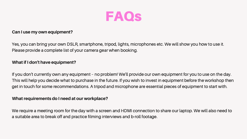

#### **Can I use my own equipment?**

Yes, you can bring your own DSLR, smartphone, tripod, lights, microphones etc. We will show you how to use it. Please provide a complete list of your camera gear when booking.

#### **What if I don't have equipment?**

If you don't currently own any equipment – no problem! We'll provide our own equipment for you to use on the day. This will help you decide what to purchase in the future. If you wish to invest in equipment before the workshop then get in touch for some recommendations. A tripod and microphone are essential pieces of equipment to start with.

#### **What requirements do I need at our workplace?**

We require a meeting room for the day with a screen and HDMI connection to share our laptop. We will also need to a suitable area to break off and practice filming interviews and b-roll footage.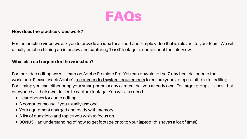#### **How does the practice video work?**

For the practice video we ask you to provide an idea for a short and simple video that is relevant to your team. We will usually practice filming an interview and capturing 'b-roll' footage to compliment the interview.

For the video editing we will learn on Adobe Premiere Pro. You can [download](https://www.adobe.com/au/products/premiere/free-trial-download.html#mini-plans-web-cta-premiere-pro-card) the 7-day free trial prior to the workshop. Please check Adobe's [recommended](https://helpx.adobe.com/au/premiere-pro/system-requirements/2019.html) system requirements to ensure your laptop is suitable for editing. For filming you can either bring your smartphone or any camera that you already own. For larger groups it's best that everyone has their own device to capture footage. You will also need:

- Headphones for audio editing.
- A computer mouse if you usually use one.
- Your equipment charged and ready with memory.
- A list of questions and topics you wish to focus on.
- BONUS an understanding of how to get footage onto to your laptop (this saves a lot of time!).

#### **What else do I require for the workshop?**